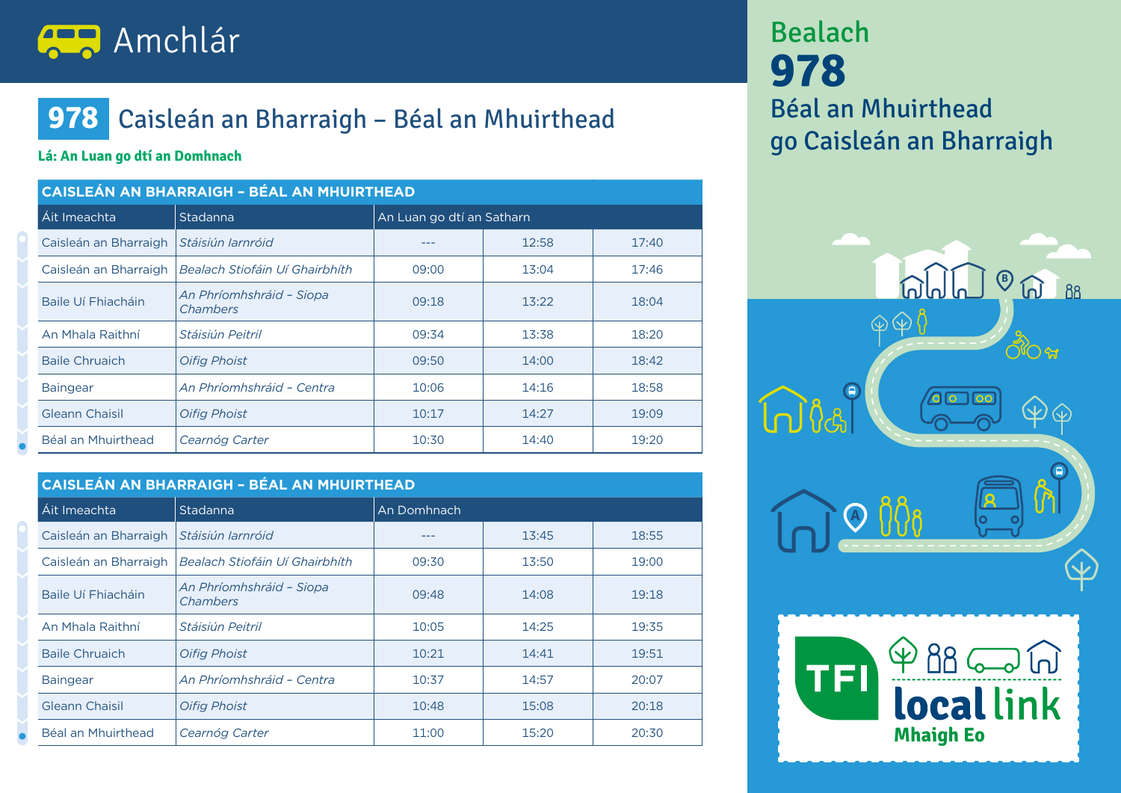

## **978** Caisleán an Bharraigh – Béal an Mhuirthead

#### **Lá: An Luan go dtí an Domhnach**

| <b>CAISLEÁN AN BHARRAIGH - BÉAL AN MHUIRTHEAD</b> |                                      |                           |       |       |
|---------------------------------------------------|--------------------------------------|---------------------------|-------|-------|
| Áit Imeachta                                      | Stadanna                             | An Luan go dtí an Satharn |       |       |
| Caisleán an Bharraigh                             | Stáisiún Iarnróid                    |                           | 12:58 | 17:40 |
| Caisleán an Bharraigh                             | Bealach Stiofáin Uí Ghairbhíth       | 09:00                     | 13:04 | 17:46 |
| Baile Uí Fhiacháin                                | An Phríomhshráid - Siopa<br>Chambers | 09:18                     | 13:22 | 18:04 |
| An Mhala Raithní                                  | Stáisiún Peitril                     | 09:34                     | 13:38 | 18:20 |
| <b>Baile Chruaich</b>                             | <b>Oifig Phoist</b>                  | 09:50                     | 14:00 | 18:42 |
| <b>Baingear</b>                                   | An Phríomhshráid - Centra            | 10:06                     | 14:16 | 18:58 |
| Gleann Chaisil                                    | <b>Oifig Phoist</b>                  | 10:17                     | 14:27 | 19:09 |
| Béal an Mhuirthead                                | Cearnóg Carter                       | 10:30                     | 14:40 | 19:20 |

| <b>CAISLEÁN AN BHARRAIGH - BÉAL AN MHUIRTHEAD</b> |                                      |             |       |       |
|---------------------------------------------------|--------------------------------------|-------------|-------|-------|
| Áit Imeachta                                      | Stadanna                             | An Domhnach |       |       |
| Caisleán an Bharraigh                             | Stáisiún Iarnróid                    |             | 13:45 | 18:55 |
| Caisleán an Bharraigh                             | Bealach Stiofáin Uí Ghairbhíth       | 09:30       | 13:50 | 19:00 |
| Baile Uí Fhiacháin                                | An Phríomhshráid - Siopa<br>Chambers | 09:48       | 14:08 | 19:18 |
| An Mhala Raithní                                  | Stáisiún Peitril                     | 10:05       | 14:25 | 19:35 |
| <b>Baile Chruaich</b>                             | <b>Oifig Phoist</b>                  | 10:21       | 14:41 | 19:51 |
| <b>Baingear</b>                                   | An Phríomhshráid - Centra            | 10:37       | 14:57 | 20:07 |
| Gleann Chaisil                                    | <b>Oifig Phoist</b>                  | 10:48       | 15:08 | 20:18 |
| Béal an Mhuirthead                                | Cearnóg Carter                       | 11:00       | 15:20 | 20:30 |

Bealach **978** Béal an Mhuirthead go Caisleán an Bharraigh



**Mhaigh Eo**

**local link** 

**TFI**